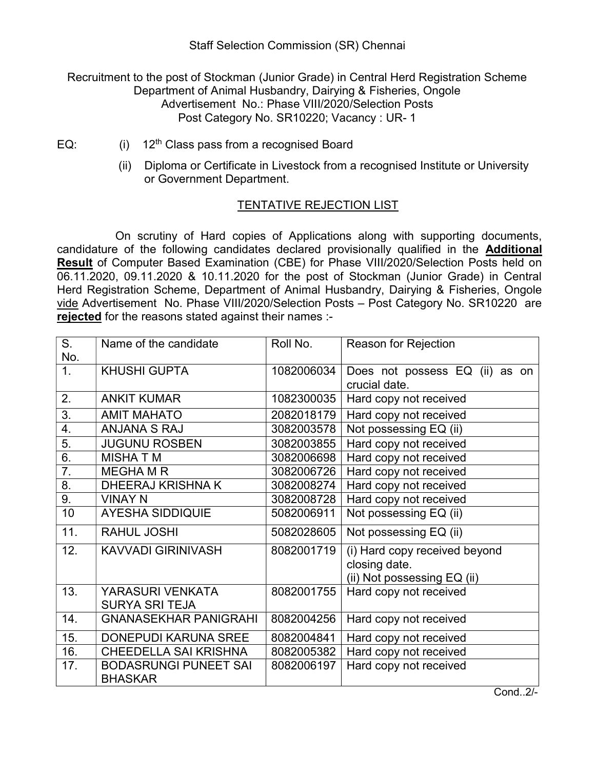Staff Selection Commission (SR) Chennai

Recruitment to the post of Stockman (Junior Grade) in Central Herd Registration Scheme Department of Animal Husbandry, Dairying & Fisheries, Ongole Advertisement No.: Phase VIII/2020/Selection Posts Post Category No. SR10220; Vacancy : UR- 1

- EQ:  $(i)$  12<sup>th</sup> Class pass from a recognised Board
	- (ii) Diploma or Certificate in Livestock from a recognised Institute or University or Government Department.

## TENTATIVE REJECTION LIST

 On scrutiny of Hard copies of Applications along with supporting documents, candidature of the following candidates declared provisionally qualified in the Additional Result of Computer Based Examination (CBE) for Phase VIII/2020/Selection Posts held on 06.11.2020, 09.11.2020 & 10.11.2020 for the post of Stockman (Junior Grade) in Central Herd Registration Scheme, Department of Animal Husbandry, Dairying & Fisheries, Ongole vide Advertisement No. Phase VIII/2020/Selection Posts – Post Category No. SR10220 are rejected for the reasons stated against their names :-

| S.                    | Name of the candidate                          | Roll No.   | <b>Reason for Rejection</b>                                                   |
|-----------------------|------------------------------------------------|------------|-------------------------------------------------------------------------------|
| No.<br>1 <sub>1</sub> | <b>KHUSHI GUPTA</b>                            | 1082006034 | Does not possess EQ (ii) as on<br>crucial date.                               |
| 2.                    | <b>ANKIT KUMAR</b>                             | 1082300035 | Hard copy not received                                                        |
| 3.                    | <b>AMIT MAHATO</b>                             | 2082018179 | Hard copy not received                                                        |
| 4.                    | <b>ANJANA S RAJ</b>                            | 3082003578 | Not possessing EQ (ii)                                                        |
| 5.                    | <b>JUGUNU ROSBEN</b>                           | 3082003855 | Hard copy not received                                                        |
| 6.                    | <b>MISHATM</b>                                 | 3082006698 | Hard copy not received                                                        |
| 7.                    | <b>MEGHA M R</b>                               | 3082006726 | Hard copy not received                                                        |
| 8.                    | <b>DHEERAJ KRISHNA K</b>                       | 3082008274 | Hard copy not received                                                        |
| 9.                    | <b>VINAY N</b>                                 | 3082008728 | Hard copy not received                                                        |
| 10                    | <b>AYESHA SIDDIQUIE</b>                        | 5082006911 | Not possessing EQ (ii)                                                        |
| 11.                   | <b>RAHUL JOSHI</b>                             | 5082028605 | Not possessing EQ (ii)                                                        |
| 12.                   | <b>KAVVADI GIRINIVASH</b>                      | 8082001719 | (i) Hard copy received beyond<br>closing date.<br>(ii) Not possessing EQ (ii) |
| 13.                   | YARASURI VENKATA<br><b>SURYA SRI TEJA</b>      | 8082001755 | Hard copy not received                                                        |
| 14.                   | <b>GNANASEKHAR PANIGRAHI</b>                   | 8082004256 | Hard copy not received                                                        |
| 15.                   | <b>DONEPUDI KARUNA SREE</b>                    | 8082004841 | Hard copy not received                                                        |
| 16.                   | <b>CHEEDELLA SAI KRISHNA</b>                   | 8082005382 | Hard copy not received                                                        |
| 17.                   | <b>BODASRUNGI PUNEET SAI</b><br><b>BHASKAR</b> | 8082006197 | Hard copy not received                                                        |

Cond..2/-